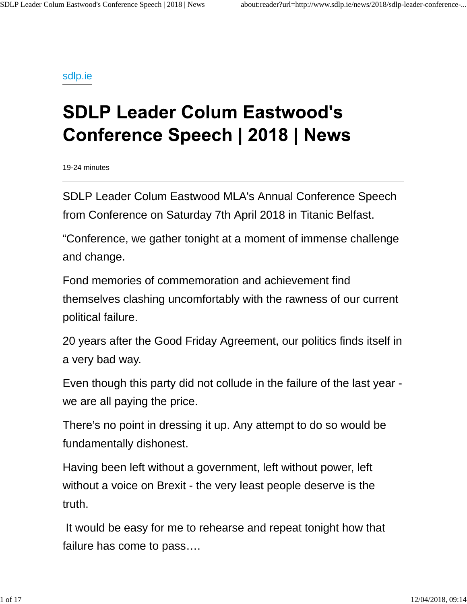sdlp.ie

# **SDLP Leader Colum Eastwood's Conference Speech | 2018 | News**

19-24 minutes

SDLP Leader Colum Eastwood MLA's Annual Conference Speech from Conference on Saturday 7th April 2018 in Titanic Belfast.

"Conference, we gather tonight at a moment of immense challenge and change.

Fond memories of commemoration and achievement find themselves clashing uncomfortably with the rawness of our current political failure.

20 years after the Good Friday Agreement, our politics finds itself in a very bad way.

Even though this party did not collude in the failure of the last year we are all paying the price.

There's no point in dressing it up. Any attempt to do so would be fundamentally dishonest.

Having been left without a government, left without power, left without a voice on Brexit - the very least people deserve is the truth.

 It would be easy for me to rehearse and repeat tonight how that failure has come to pass….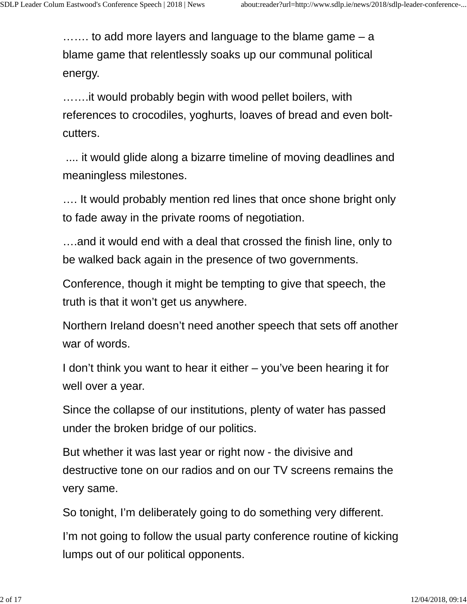……. to add more layers and language to the blame game – a blame game that relentlessly soaks up our communal political energy.

…….it would probably begin with wood pellet boilers, with references to crocodiles, yoghurts, loaves of bread and even boltcutters.

 .... it would glide along a bizarre timeline of moving deadlines and meaningless milestones.

…. It would probably mention red lines that once shone bright only to fade away in the private rooms of negotiation.

….and it would end with a deal that crossed the finish line, only to be walked back again in the presence of two governments.

Conference, though it might be tempting to give that speech, the truth is that it won't get us anywhere.

Northern Ireland doesn't need another speech that sets off another war of words.

I don't think you want to hear it either – you've been hearing it for well over a year.

Since the collapse of our institutions, plenty of water has passed under the broken bridge of our politics.

But whether it was last year or right now - the divisive and destructive tone on our radios and on our TV screens remains the very same.

So tonight, I'm deliberately going to do something very different.

I'm not going to follow the usual party conference routine of kicking lumps out of our political opponents.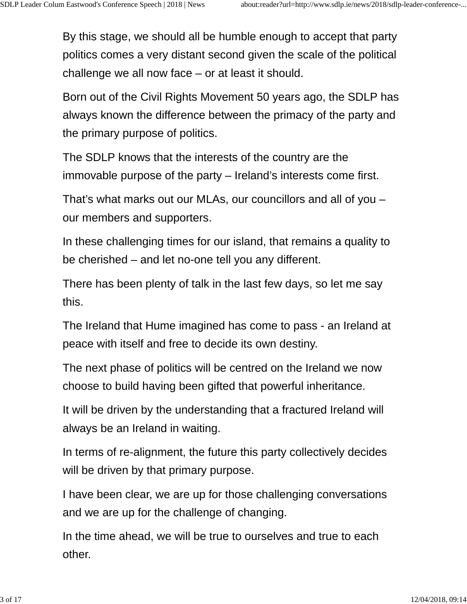By this stage, we should all be humble enough to accept that party politics comes a very distant second given the scale of the political challenge we all now face – or at least it should.

Born out of the Civil Rights Movement 50 years ago, the SDLP has always known the difference between the primacy of the party and the primary purpose of politics.

The SDLP knows that the interests of the country are the immovable purpose of the party – Ireland's interests come first.

That's what marks out our MLAs, our councillors and all of you – our members and supporters.

In these challenging times for our island, that remains a quality to be cherished – and let no-one tell you any different.

There has been plenty of talk in the last few days, so let me say this.

The Ireland that Hume imagined has come to pass - an Ireland at peace with itself and free to decide its own destiny.

The next phase of politics will be centred on the Ireland we now choose to build having been gifted that powerful inheritance.

It will be driven by the understanding that a fractured Ireland will always be an Ireland in waiting.

In terms of re-alignment, the future this party collectively decides will be driven by that primary purpose.

I have been clear, we are up for those challenging conversations and we are up for the challenge of changing.

In the time ahead, we will be true to ourselves and true to each other.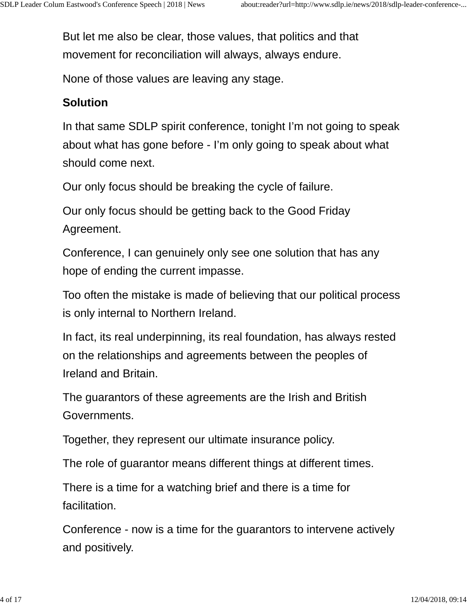But let me also be clear, those values, that politics and that movement for reconciliation will always, always endure.

None of those values are leaving any stage.

# **Solution**

In that same SDLP spirit conference, tonight I'm not going to speak about what has gone before - I'm only going to speak about what should come next.

Our only focus should be breaking the cycle of failure.

Our only focus should be getting back to the Good Friday Agreement.

Conference, I can genuinely only see one solution that has any hope of ending the current impasse.

Too often the mistake is made of believing that our political process is only internal to Northern Ireland.

In fact, its real underpinning, its real foundation, has always rested on the relationships and agreements between the peoples of Ireland and Britain.

The guarantors of these agreements are the Irish and British Governments.

Together, they represent our ultimate insurance policy.

The role of guarantor means different things at different times.

There is a time for a watching brief and there is a time for facilitation.

Conference - now is a time for the guarantors to intervene actively and positively.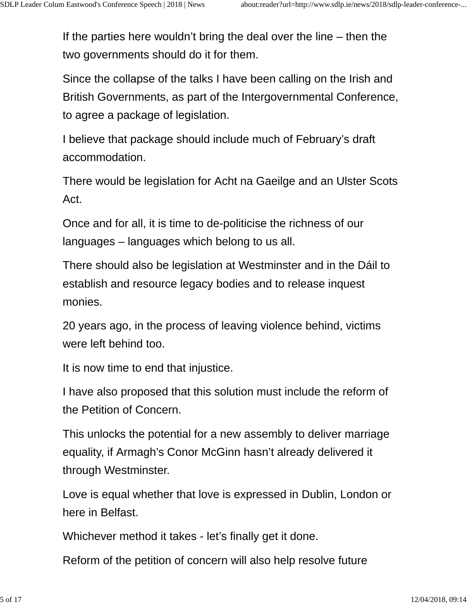If the parties here wouldn't bring the deal over the line – then the two governments should do it for them.

Since the collapse of the talks I have been calling on the Irish and British Governments, as part of the Intergovernmental Conference, to agree a package of legislation.

I believe that package should include much of February's draft accommodation.

There would be legislation for Acht na Gaeilge and an Ulster Scots Act.

Once and for all, it is time to de-politicise the richness of our languages – languages which belong to us all.

There should also be legislation at Westminster and in the Dáil to establish and resource legacy bodies and to release inquest monies.

20 years ago, in the process of leaving violence behind, victims were left behind too.

It is now time to end that injustice.

I have also proposed that this solution must include the reform of the Petition of Concern.

This unlocks the potential for a new assembly to deliver marriage equality, if Armagh's Conor McGinn hasn't already delivered it through Westminster.

Love is equal whether that love is expressed in Dublin, London or here in Belfast.

Whichever method it takes - let's finally get it done.

Reform of the petition of concern will also help resolve future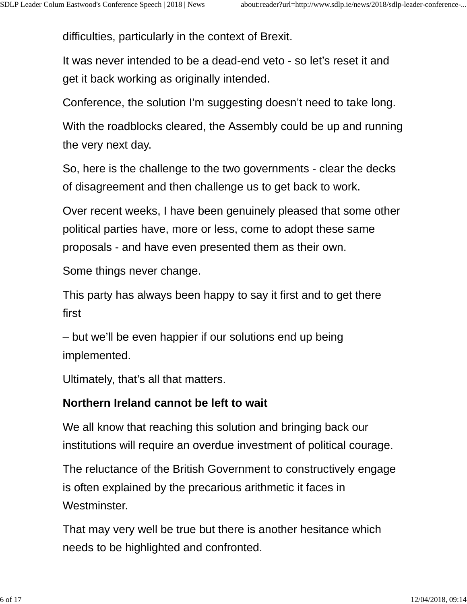difficulties, particularly in the context of Brexit.

It was never intended to be a dead-end veto - so let's reset it and get it back working as originally intended.

Conference, the solution I'm suggesting doesn't need to take long.

With the roadblocks cleared, the Assembly could be up and running the very next day.

So, here is the challenge to the two governments - clear the decks of disagreement and then challenge us to get back to work.

Over recent weeks, I have been genuinely pleased that some other political parties have, more or less, come to adopt these same proposals - and have even presented them as their own.

Some things never change.

This party has always been happy to say it first and to get there first

– but we'll be even happier if our solutions end up being implemented.

Ultimately, that's all that matters.

#### **Northern Ireland cannot be left to wait**

We all know that reaching this solution and bringing back our institutions will require an overdue investment of political courage.

The reluctance of the British Government to constructively engage is often explained by the precarious arithmetic it faces in Westminster.

That may very well be true but there is another hesitance which needs to be highlighted and confronted.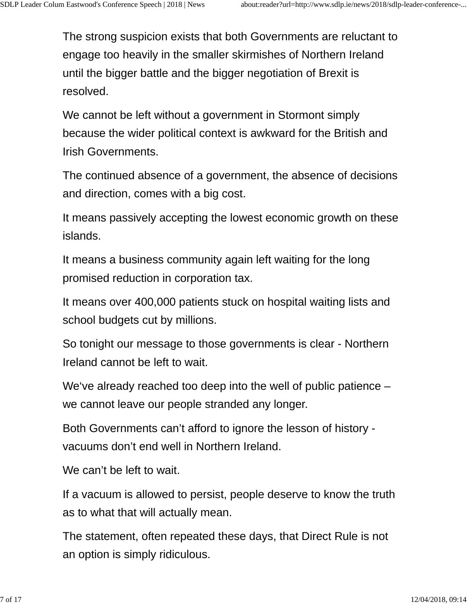The strong suspicion exists that both Governments are reluctant to engage too heavily in the smaller skirmishes of Northern Ireland until the bigger battle and the bigger negotiation of Brexit is resolved.

We cannot be left without a government in Stormont simply because the wider political context is awkward for the British and Irish Governments.

The continued absence of a government, the absence of decisions and direction, comes with a big cost.

It means passively accepting the lowest economic growth on these islands.

It means a business community again left waiting for the long promised reduction in corporation tax.

It means over 400,000 patients stuck on hospital waiting lists and school budgets cut by millions.

So tonight our message to those governments is clear - Northern Ireland cannot be left to wait.

We've already reached too deep into the well of public patience – we cannot leave our people stranded any longer.

Both Governments can't afford to ignore the lesson of history vacuums don't end well in Northern Ireland.

We can't be left to wait.

If a vacuum is allowed to persist, people deserve to know the truth as to what that will actually mean.

The statement, often repeated these days, that Direct Rule is not an option is simply ridiculous.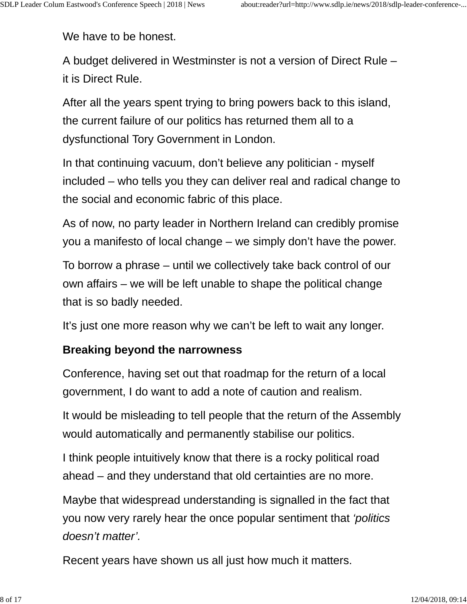We have to be honest.

A budget delivered in Westminster is not a version of Direct Rule – it is Direct Rule.

After all the years spent trying to bring powers back to this island, the current failure of our politics has returned them all to a dysfunctional Tory Government in London.

In that continuing vacuum, don't believe any politician - myself included – who tells you they can deliver real and radical change to the social and economic fabric of this place.

As of now, no party leader in Northern Ireland can credibly promise you a manifesto of local change – we simply don't have the power.

To borrow a phrase – until we collectively take back control of our own affairs – we will be left unable to shape the political change that is so badly needed.

It's just one more reason why we can't be left to wait any longer.

#### **Breaking beyond the narrowness**

Conference, having set out that roadmap for the return of a local government, I do want to add a note of caution and realism.

It would be misleading to tell people that the return of the Assembly would automatically and permanently stabilise our politics.

I think people intuitively know that there is a rocky political road ahead – and they understand that old certainties are no more.

Maybe that widespread understanding is signalled in the fact that you now very rarely hear the once popular sentiment that *'politics doesn't matter'.*

Recent years have shown us all just how much it matters.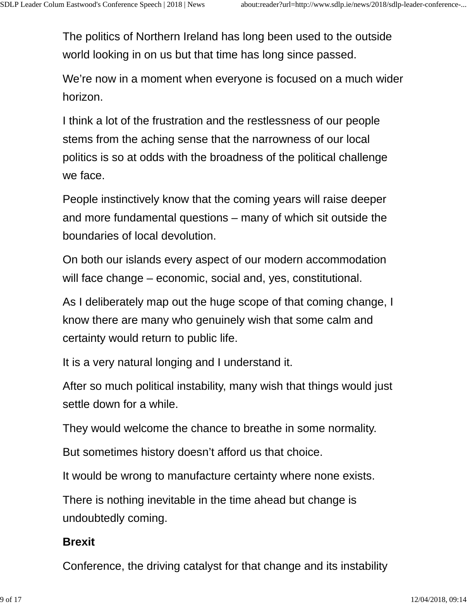The politics of Northern Ireland has long been used to the outside world looking in on us but that time has long since passed.

We're now in a moment when everyone is focused on a much wider horizon.

I think a lot of the frustration and the restlessness of our people stems from the aching sense that the narrowness of our local politics is so at odds with the broadness of the political challenge we face.

People instinctively know that the coming years will raise deeper and more fundamental questions – many of which sit outside the boundaries of local devolution.

On both our islands every aspect of our modern accommodation will face change – economic, social and, yes, constitutional.

As I deliberately map out the huge scope of that coming change, I know there are many who genuinely wish that some calm and certainty would return to public life.

It is a very natural longing and I understand it.

After so much political instability, many wish that things would just settle down for a while.

They would welcome the chance to breathe in some normality.

But sometimes history doesn't afford us that choice.

It would be wrong to manufacture certainty where none exists.

There is nothing inevitable in the time ahead but change is undoubtedly coming.

# **Brexit**

Conference, the driving catalyst for that change and its instability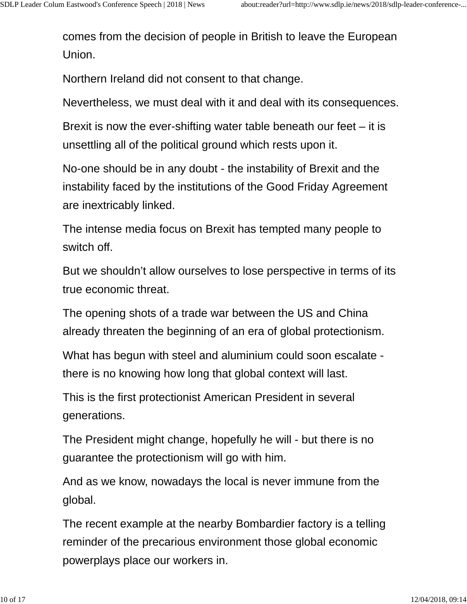comes from the decision of people in British to leave the European Union.

Northern Ireland did not consent to that change.

Nevertheless, we must deal with it and deal with its consequences.

Brexit is now the ever-shifting water table beneath our feet  $-$  it is unsettling all of the political ground which rests upon it.

No-one should be in any doubt - the instability of Brexit and the instability faced by the institutions of the Good Friday Agreement are inextricably linked.

The intense media focus on Brexit has tempted many people to switch off.

But we shouldn't allow ourselves to lose perspective in terms of its true economic threat.

The opening shots of a trade war between the US and China already threaten the beginning of an era of global protectionism.

What has begun with steel and aluminium could soon escalate there is no knowing how long that global context will last.

This is the first protectionist American President in several generations.

The President might change, hopefully he will - but there is no guarantee the protectionism will go with him.

And as we know, nowadays the local is never immune from the global.

The recent example at the nearby Bombardier factory is a telling reminder of the precarious environment those global economic powerplays place our workers in.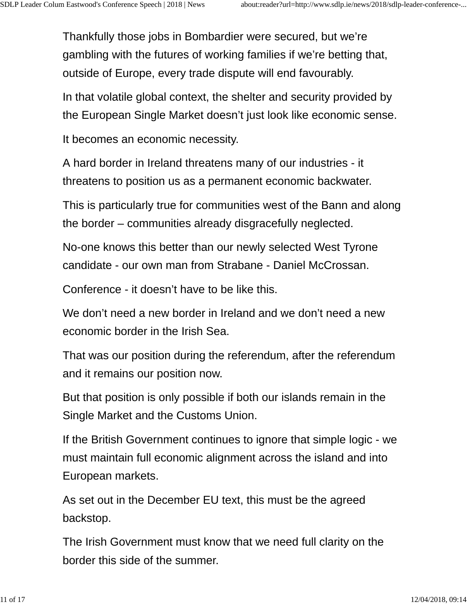Thankfully those jobs in Bombardier were secured, but we're gambling with the futures of working families if we're betting that, outside of Europe, every trade dispute will end favourably.

In that volatile global context, the shelter and security provided by the European Single Market doesn't just look like economic sense.

It becomes an economic necessity.

A hard border in Ireland threatens many of our industries - it threatens to position us as a permanent economic backwater.

This is particularly true for communities west of the Bann and along the border – communities already disgracefully neglected.

No-one knows this better than our newly selected West Tyrone candidate - our own man from Strabane - Daniel McCrossan.

Conference - it doesn't have to be like this.

We don't need a new border in Ireland and we don't need a new economic border in the Irish Sea.

That was our position during the referendum, after the referendum and it remains our position now.

But that position is only possible if both our islands remain in the Single Market and the Customs Union.

If the British Government continues to ignore that simple logic - we must maintain full economic alignment across the island and into European markets.

As set out in the December EU text, this must be the agreed backstop.

The Irish Government must know that we need full clarity on the border this side of the summer.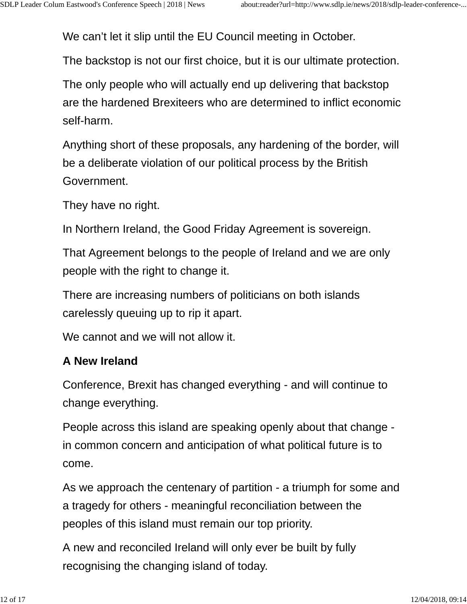We can't let it slip until the EU Council meeting in October.

The backstop is not our first choice, but it is our ultimate protection.

The only people who will actually end up delivering that backstop are the hardened Brexiteers who are determined to inflict economic self-harm.

Anything short of these proposals, any hardening of the border, will be a deliberate violation of our political process by the British Government.

They have no right.

In Northern Ireland, the Good Friday Agreement is sovereign.

That Agreement belongs to the people of Ireland and we are only people with the right to change it.

There are increasing numbers of politicians on both islands carelessly queuing up to rip it apart.

We cannot and we will not allow it.

# **A New Ireland**

Conference, Brexit has changed everything - and will continue to change everything.

People across this island are speaking openly about that change in common concern and anticipation of what political future is to come.

As we approach the centenary of partition - a triumph for some and a tragedy for others - meaningful reconciliation between the peoples of this island must remain our top priority.

A new and reconciled Ireland will only ever be built by fully recognising the changing island of today.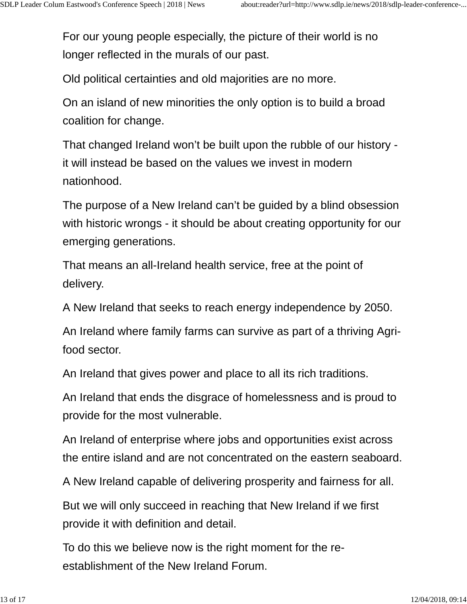For our young people especially, the picture of their world is no longer reflected in the murals of our past.

Old political certainties and old majorities are no more.

On an island of new minorities the only option is to build a broad coalition for change.

That changed Ireland won't be built upon the rubble of our history it will instead be based on the values we invest in modern nationhood.

The purpose of a New Ireland can't be guided by a blind obsession with historic wrongs - it should be about creating opportunity for our emerging generations.

That means an all-Ireland health service, free at the point of delivery.

A New Ireland that seeks to reach energy independence by 2050.

An Ireland where family farms can survive as part of a thriving Agrifood sector.

An Ireland that gives power and place to all its rich traditions.

An Ireland that ends the disgrace of homelessness and is proud to provide for the most vulnerable.

An Ireland of enterprise where jobs and opportunities exist across the entire island and are not concentrated on the eastern seaboard.

A New Ireland capable of delivering prosperity and fairness for all.

But we will only succeed in reaching that New Ireland if we first provide it with definition and detail.

To do this we believe now is the right moment for the reestablishment of the New Ireland Forum.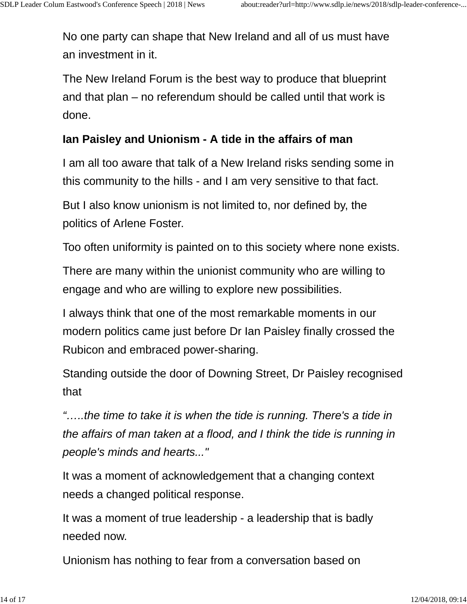No one party can shape that New Ireland and all of us must have an investment in it.

The New Ireland Forum is the best way to produce that blueprint and that plan – no referendum should be called until that work is done.

# **Ian Paisley and Unionism - A tide in the affairs of man**

I am all too aware that talk of a New Ireland risks sending some in this community to the hills - and I am very sensitive to that fact.

But I also know unionism is not limited to, nor defined by, the politics of Arlene Foster.

Too often uniformity is painted on to this society where none exists.

There are many within the unionist community who are willing to engage and who are willing to explore new possibilities.

I always think that one of the most remarkable moments in our modern politics came just before Dr Ian Paisley finally crossed the Rubicon and embraced power-sharing.

Standing outside the door of Downing Street, Dr Paisley recognised that

*"…..the time to take it is when the tide is running. There's a tide in the affairs of man taken at a flood, and I think the tide is running in people's minds and hearts..."*

It was a moment of acknowledgement that a changing context needs a changed political response.

It was a moment of true leadership - a leadership that is badly needed now.

Unionism has nothing to fear from a conversation based on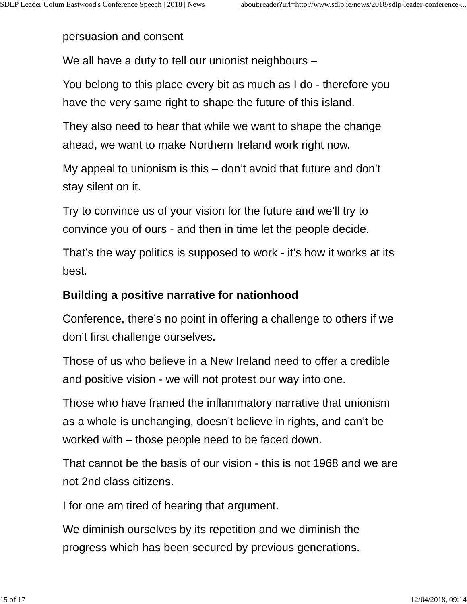persuasion and consent

We all have a duty to tell our unionist neighbours –

You belong to this place every bit as much as I do - therefore you have the very same right to shape the future of this island.

They also need to hear that while we want to shape the change ahead, we want to make Northern Ireland work right now.

My appeal to unionism is this – don't avoid that future and don't stay silent on it.

Try to convince us of your vision for the future and we'll try to convince you of ours - and then in time let the people decide.

That's the way politics is supposed to work - it's how it works at its best.

#### **Building a positive narrative for nationhood**

Conference, there's no point in offering a challenge to others if we don't first challenge ourselves.

Those of us who believe in a New Ireland need to offer a credible and positive vision - we will not protest our way into one.

Those who have framed the inflammatory narrative that unionism as a whole is unchanging, doesn't believe in rights, and can't be worked with – those people need to be faced down.

That cannot be the basis of our vision - this is not 1968 and we are not 2nd class citizens.

I for one am tired of hearing that argument.

We diminish ourselves by its repetition and we diminish the progress which has been secured by previous generations.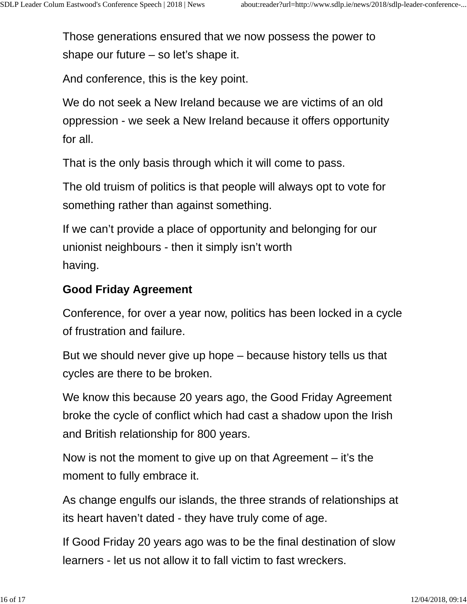Those generations ensured that we now possess the power to shape our future  $-$  so let's shape it.

And conference, this is the key point.

We do not seek a New Ireland because we are victims of an old oppression - we seek a New Ireland because it offers opportunity for all.

That is the only basis through which it will come to pass.

The old truism of politics is that people will always opt to vote for something rather than against something.

If we can't provide a place of opportunity and belonging for our unionist neighbours - then it simply isn't worth having.

#### **Good Friday Agreement**

Conference, for over a year now, politics has been locked in a cycle of frustration and failure.

But we should never give up hope – because history tells us that cycles are there to be broken.

We know this because 20 years ago, the Good Friday Agreement broke the cycle of conflict which had cast a shadow upon the Irish and British relationship for 800 years.

Now is not the moment to give up on that Agreement  $-$  it's the moment to fully embrace it.

As change engulfs our islands, the three strands of relationships at its heart haven't dated - they have truly come of age.

If Good Friday 20 years ago was to be the final destination of slow learners - let us not allow it to fall victim to fast wreckers.